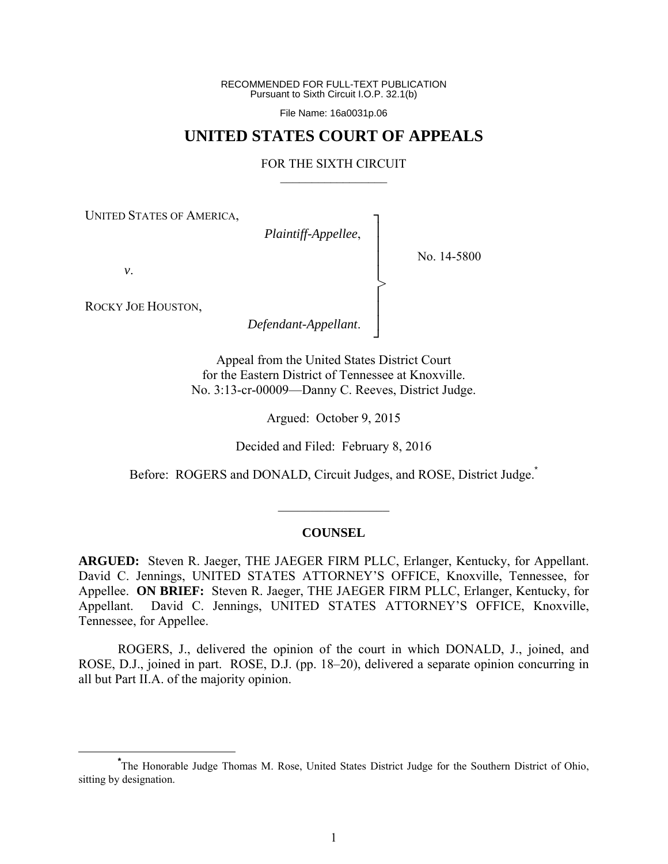RECOMMENDED FOR FULL-TEXT PUBLICATION Pursuant to Sixth Circuit I.O.P. 32.1(b)

File Name: 16a0031p.06

# **UNITED STATES COURT OF APPEALS**

### FOR THE SIXTH CIRCUIT  $\mathcal{L}_\text{max}$

┐ │ │ │ │ │ │ │ ┘

>

UNITED STATES OF AMERICA,

*Plaintiff-Appellee*,

No. 14-5800

*v*.

ROCKY JOE HOUSTON,

*Defendant-Appellant*.

Appeal from the United States District Court for the Eastern District of Tennessee at Knoxville. No. 3:13-cr-00009—Danny C. Reeves, District Judge.

Argued: October 9, 2015

Decided and Filed: February 8, 2016

Before: ROGERS and DONALD, Circuit Judges, and ROSE, District Judge.<sup>\*</sup>

#### **COUNSEL**

 $\frac{1}{2}$ 

**ARGUED:** Steven R. Jaeger, THE JAEGER FIRM PLLC, Erlanger, Kentucky, for Appellant. David C. Jennings, UNITED STATES ATTORNEY'S OFFICE, Knoxville, Tennessee, for Appellee. **ON BRIEF:** Steven R. Jaeger, THE JAEGER FIRM PLLC, Erlanger, Kentucky, for Appellant. David C. Jennings, UNITED STATES ATTORNEY'S OFFICE, Knoxville, Tennessee, for Appellee.

 ROGERS, J., delivered the opinion of the court in which DONALD, J., joined, and ROSE, D.J., joined in part. ROSE, D.J. (pp. 18–20), delivered a separate opinion concurring in all but Part II.A. of the majority opinion.

**\*** The Honorable Judge Thomas M. Rose, United States District Judge for the Southern District of Ohio, sitting by designation.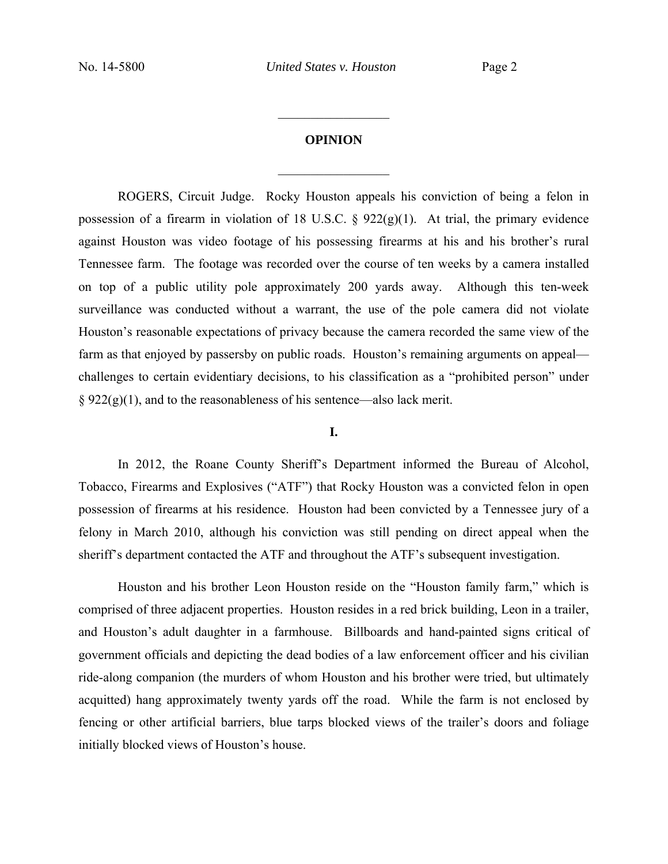## **OPINION**

 $\frac{1}{2}$ 

 $\frac{1}{2}$ 

ROGERS, Circuit Judge. Rocky Houston appeals his conviction of being a felon in possession of a firearm in violation of 18 U.S.C.  $\S$  922(g)(1). At trial, the primary evidence against Houston was video footage of his possessing firearms at his and his brother's rural Tennessee farm. The footage was recorded over the course of ten weeks by a camera installed on top of a public utility pole approximately 200 yards away. Although this ten-week surveillance was conducted without a warrant, the use of the pole camera did not violate Houston's reasonable expectations of privacy because the camera recorded the same view of the farm as that enjoyed by passersby on public roads. Houston's remaining arguments on appeal challenges to certain evidentiary decisions, to his classification as a "prohibited person" under  $\S 922(g)(1)$ , and to the reasonableness of his sentence—also lack merit.

### **I.**

 In 2012, the Roane County Sheriff's Department informed the Bureau of Alcohol, Tobacco, Firearms and Explosives ("ATF") that Rocky Houston was a convicted felon in open possession of firearms at his residence. Houston had been convicted by a Tennessee jury of a felony in March 2010, although his conviction was still pending on direct appeal when the sheriff's department contacted the ATF and throughout the ATF's subsequent investigation.

 Houston and his brother Leon Houston reside on the "Houston family farm," which is comprised of three adjacent properties. Houston resides in a red brick building, Leon in a trailer, and Houston's adult daughter in a farmhouse. Billboards and hand-painted signs critical of government officials and depicting the dead bodies of a law enforcement officer and his civilian ride-along companion (the murders of whom Houston and his brother were tried, but ultimately acquitted) hang approximately twenty yards off the road. While the farm is not enclosed by fencing or other artificial barriers, blue tarps blocked views of the trailer's doors and foliage initially blocked views of Houston's house.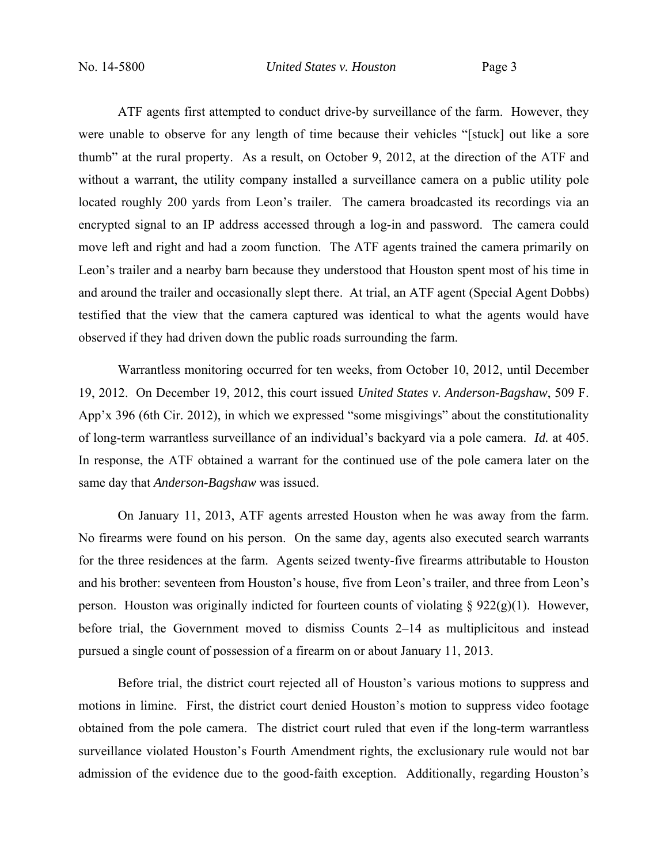ATF agents first attempted to conduct drive-by surveillance of the farm. However, they were unable to observe for any length of time because their vehicles "[stuck] out like a sore thumb" at the rural property. As a result, on October 9, 2012, at the direction of the ATF and without a warrant, the utility company installed a surveillance camera on a public utility pole located roughly 200 yards from Leon's trailer. The camera broadcasted its recordings via an encrypted signal to an IP address accessed through a log-in and password. The camera could move left and right and had a zoom function. The ATF agents trained the camera primarily on Leon's trailer and a nearby barn because they understood that Houston spent most of his time in and around the trailer and occasionally slept there. At trial, an ATF agent (Special Agent Dobbs) testified that the view that the camera captured was identical to what the agents would have observed if they had driven down the public roads surrounding the farm.

 Warrantless monitoring occurred for ten weeks, from October 10, 2012, until December 19, 2012. On December 19, 2012, this court issued *United States v. Anderson-Bagshaw*, 509 F. App'x 396 (6th Cir. 2012), in which we expressed "some misgivings" about the constitutionality of long-term warrantless surveillance of an individual's backyard via a pole camera. *Id.* at 405. In response, the ATF obtained a warrant for the continued use of the pole camera later on the same day that *Anderson-Bagshaw* was issued.

 On January 11, 2013, ATF agents arrested Houston when he was away from the farm. No firearms were found on his person. On the same day, agents also executed search warrants for the three residences at the farm. Agents seized twenty-five firearms attributable to Houston and his brother: seventeen from Houston's house, five from Leon's trailer, and three from Leon's person. Houston was originally indicted for fourteen counts of violating  $\S 922(g)(1)$ . However, before trial, the Government moved to dismiss Counts 2–14 as multiplicitous and instead pursued a single count of possession of a firearm on or about January 11, 2013.

 Before trial, the district court rejected all of Houston's various motions to suppress and motions in limine. First, the district court denied Houston's motion to suppress video footage obtained from the pole camera. The district court ruled that even if the long-term warrantless surveillance violated Houston's Fourth Amendment rights, the exclusionary rule would not bar admission of the evidence due to the good-faith exception. Additionally, regarding Houston's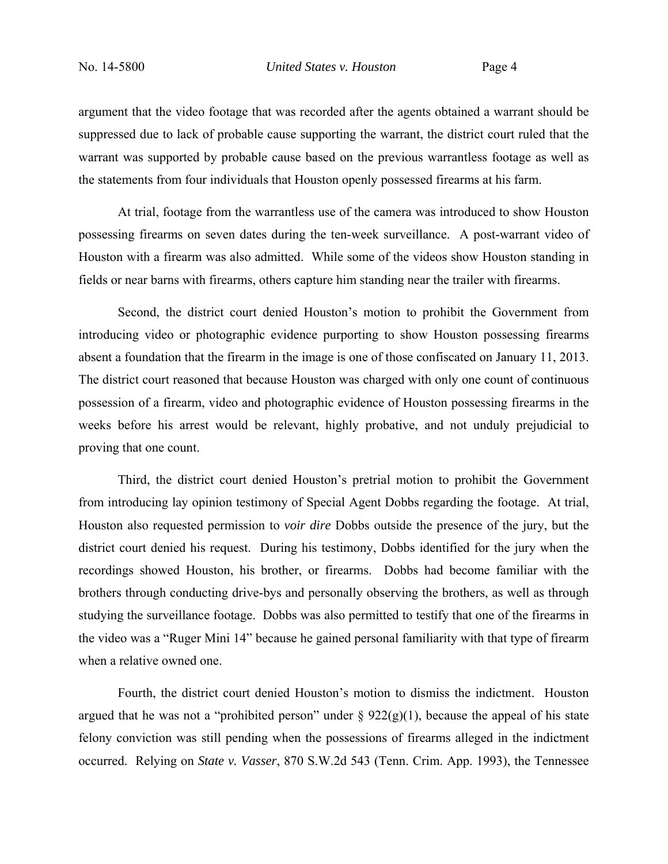argument that the video footage that was recorded after the agents obtained a warrant should be suppressed due to lack of probable cause supporting the warrant, the district court ruled that the warrant was supported by probable cause based on the previous warrantless footage as well as the statements from four individuals that Houston openly possessed firearms at his farm.

 At trial, footage from the warrantless use of the camera was introduced to show Houston possessing firearms on seven dates during the ten-week surveillance. A post-warrant video of Houston with a firearm was also admitted. While some of the videos show Houston standing in fields or near barns with firearms, others capture him standing near the trailer with firearms.

 Second, the district court denied Houston's motion to prohibit the Government from introducing video or photographic evidence purporting to show Houston possessing firearms absent a foundation that the firearm in the image is one of those confiscated on January 11, 2013. The district court reasoned that because Houston was charged with only one count of continuous possession of a firearm, video and photographic evidence of Houston possessing firearms in the weeks before his arrest would be relevant, highly probative, and not unduly prejudicial to proving that one count.

 Third, the district court denied Houston's pretrial motion to prohibit the Government from introducing lay opinion testimony of Special Agent Dobbs regarding the footage. At trial, Houston also requested permission to *voir dire* Dobbs outside the presence of the jury, but the district court denied his request. During his testimony, Dobbs identified for the jury when the recordings showed Houston, his brother, or firearms. Dobbs had become familiar with the brothers through conducting drive-bys and personally observing the brothers, as well as through studying the surveillance footage. Dobbs was also permitted to testify that one of the firearms in the video was a "Ruger Mini 14" because he gained personal familiarity with that type of firearm when a relative owned one.

 Fourth, the district court denied Houston's motion to dismiss the indictment. Houston argued that he was not a "prohibited person" under  $\S 922(g)(1)$ , because the appeal of his state felony conviction was still pending when the possessions of firearms alleged in the indictment occurred. Relying on *State v. Vasser*, 870 S.W.2d 543 (Tenn. Crim. App. 1993), the Tennessee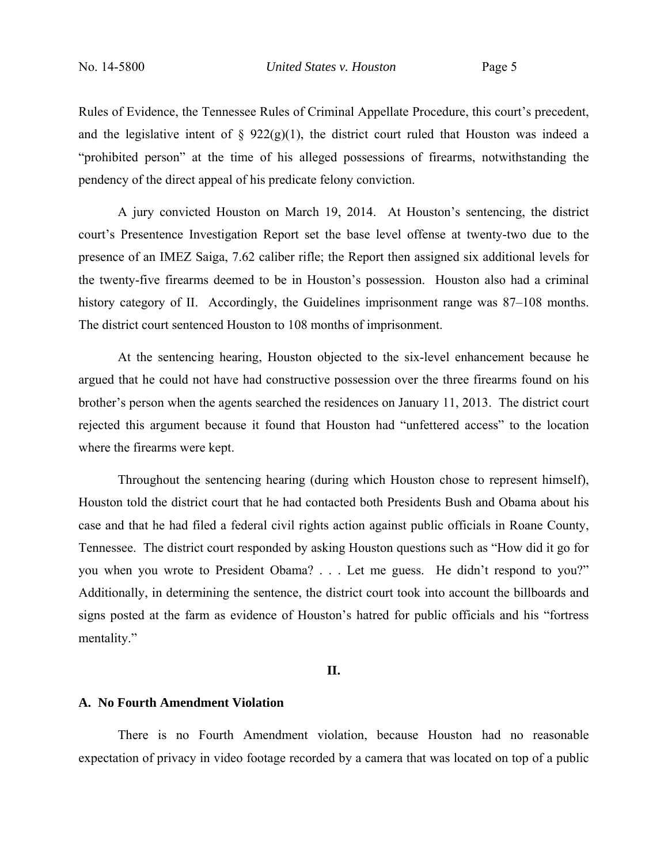Rules of Evidence, the Tennessee Rules of Criminal Appellate Procedure, this court's precedent, and the legislative intent of  $\S$  922(g)(1), the district court ruled that Houston was indeed a "prohibited person" at the time of his alleged possessions of firearms, notwithstanding the pendency of the direct appeal of his predicate felony conviction.

 A jury convicted Houston on March 19, 2014. At Houston's sentencing, the district court's Presentence Investigation Report set the base level offense at twenty-two due to the presence of an IMEZ Saiga, 7.62 caliber rifle; the Report then assigned six additional levels for the twenty-five firearms deemed to be in Houston's possession. Houston also had a criminal history category of II. Accordingly, the Guidelines imprisonment range was 87–108 months. The district court sentenced Houston to 108 months of imprisonment.

 At the sentencing hearing, Houston objected to the six-level enhancement because he argued that he could not have had constructive possession over the three firearms found on his brother's person when the agents searched the residences on January 11, 2013. The district court rejected this argument because it found that Houston had "unfettered access" to the location where the firearms were kept.

 Throughout the sentencing hearing (during which Houston chose to represent himself), Houston told the district court that he had contacted both Presidents Bush and Obama about his case and that he had filed a federal civil rights action against public officials in Roane County, Tennessee. The district court responded by asking Houston questions such as "How did it go for you when you wrote to President Obama? . . . Let me guess. He didn't respond to you?" Additionally, in determining the sentence, the district court took into account the billboards and signs posted at the farm as evidence of Houston's hatred for public officials and his "fortress mentality."

#### **II.**

#### **A. No Fourth Amendment Violation**

 There is no Fourth Amendment violation, because Houston had no reasonable expectation of privacy in video footage recorded by a camera that was located on top of a public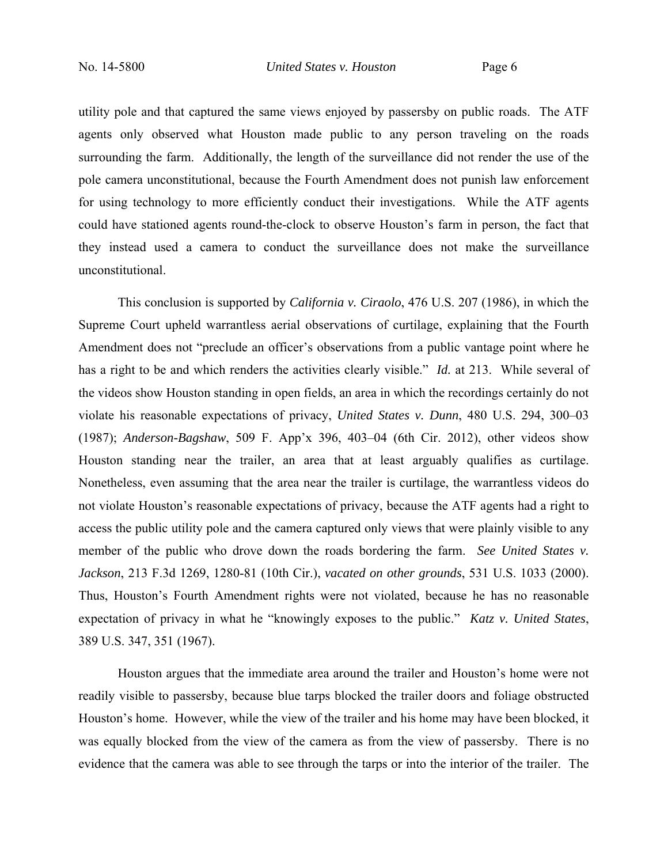utility pole and that captured the same views enjoyed by passersby on public roads. The ATF agents only observed what Houston made public to any person traveling on the roads surrounding the farm. Additionally, the length of the surveillance did not render the use of the pole camera unconstitutional, because the Fourth Amendment does not punish law enforcement for using technology to more efficiently conduct their investigations. While the ATF agents could have stationed agents round-the-clock to observe Houston's farm in person, the fact that they instead used a camera to conduct the surveillance does not make the surveillance unconstitutional.

 This conclusion is supported by *California v. Ciraolo*, 476 U.S. 207 (1986), in which the Supreme Court upheld warrantless aerial observations of curtilage, explaining that the Fourth Amendment does not "preclude an officer's observations from a public vantage point where he has a right to be and which renders the activities clearly visible." *Id.* at 213. While several of the videos show Houston standing in open fields, an area in which the recordings certainly do not violate his reasonable expectations of privacy, *United States v. Dunn*, 480 U.S. 294, 300–03 (1987); *Anderson-Bagshaw*, 509 F. App'x 396, 403–04 (6th Cir. 2012), other videos show Houston standing near the trailer, an area that at least arguably qualifies as curtilage. Nonetheless, even assuming that the area near the trailer is curtilage, the warrantless videos do not violate Houston's reasonable expectations of privacy, because the ATF agents had a right to access the public utility pole and the camera captured only views that were plainly visible to any member of the public who drove down the roads bordering the farm. *See United States v. Jackson*, 213 F.3d 1269, 1280-81 (10th Cir.), *vacated on other grounds*, 531 U.S. 1033 (2000). Thus, Houston's Fourth Amendment rights were not violated, because he has no reasonable expectation of privacy in what he "knowingly exposes to the public." *Katz v. United States*, 389 U.S. 347, 351 (1967).

 Houston argues that the immediate area around the trailer and Houston's home were not readily visible to passersby, because blue tarps blocked the trailer doors and foliage obstructed Houston's home. However, while the view of the trailer and his home may have been blocked, it was equally blocked from the view of the camera as from the view of passersby. There is no evidence that the camera was able to see through the tarps or into the interior of the trailer. The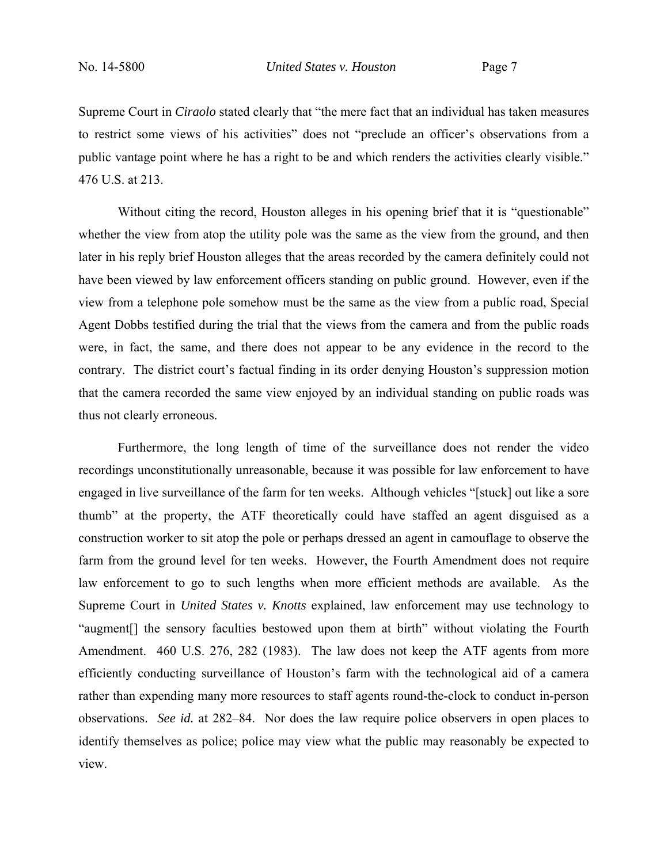Supreme Court in *Ciraolo* stated clearly that "the mere fact that an individual has taken measures to restrict some views of his activities" does not "preclude an officer's observations from a public vantage point where he has a right to be and which renders the activities clearly visible." 476 U.S. at 213.

Without citing the record, Houston alleges in his opening brief that it is "questionable" whether the view from atop the utility pole was the same as the view from the ground, and then later in his reply brief Houston alleges that the areas recorded by the camera definitely could not have been viewed by law enforcement officers standing on public ground. However, even if the view from a telephone pole somehow must be the same as the view from a public road, Special Agent Dobbs testified during the trial that the views from the camera and from the public roads were, in fact, the same, and there does not appear to be any evidence in the record to the contrary. The district court's factual finding in its order denying Houston's suppression motion that the camera recorded the same view enjoyed by an individual standing on public roads was thus not clearly erroneous.

Furthermore, the long length of time of the surveillance does not render the video recordings unconstitutionally unreasonable, because it was possible for law enforcement to have engaged in live surveillance of the farm for ten weeks. Although vehicles "[stuck] out like a sore thumb" at the property, the ATF theoretically could have staffed an agent disguised as a construction worker to sit atop the pole or perhaps dressed an agent in camouflage to observe the farm from the ground level for ten weeks. However, the Fourth Amendment does not require law enforcement to go to such lengths when more efficient methods are available. As the Supreme Court in *United States v. Knotts* explained, law enforcement may use technology to "augment[] the sensory faculties bestowed upon them at birth" without violating the Fourth Amendment. 460 U.S. 276, 282 (1983). The law does not keep the ATF agents from more efficiently conducting surveillance of Houston's farm with the technological aid of a camera rather than expending many more resources to staff agents round-the-clock to conduct in-person observations. *See id.* at 282–84. Nor does the law require police observers in open places to identify themselves as police; police may view what the public may reasonably be expected to view.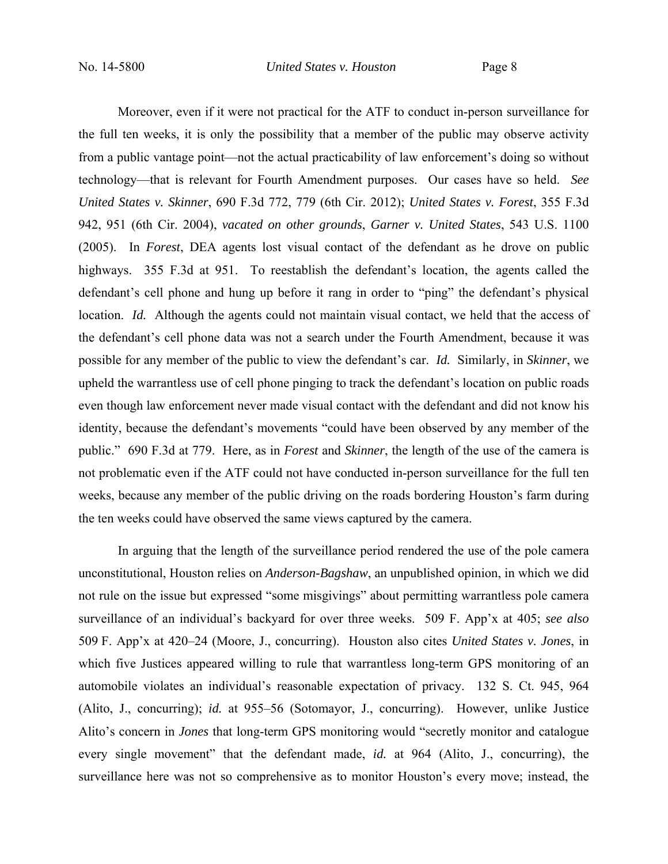Moreover, even if it were not practical for the ATF to conduct in-person surveillance for the full ten weeks, it is only the possibility that a member of the public may observe activity from a public vantage point—not the actual practicability of law enforcement's doing so without technology—that is relevant for Fourth Amendment purposes. Our cases have so held. *See United States v. Skinner*, 690 F.3d 772, 779 (6th Cir. 2012); *United States v. Forest*, 355 F.3d 942, 951 (6th Cir. 2004), *vacated on other grounds*, *Garner v. United States*, 543 U.S. 1100 (2005). In *Forest*, DEA agents lost visual contact of the defendant as he drove on public highways. 355 F.3d at 951. To reestablish the defendant's location, the agents called the defendant's cell phone and hung up before it rang in order to "ping" the defendant's physical location. *Id.* Although the agents could not maintain visual contact, we held that the access of the defendant's cell phone data was not a search under the Fourth Amendment, because it was possible for any member of the public to view the defendant's car. *Id.* Similarly, in *Skinner*, we upheld the warrantless use of cell phone pinging to track the defendant's location on public roads even though law enforcement never made visual contact with the defendant and did not know his identity, because the defendant's movements "could have been observed by any member of the public." 690 F.3d at 779. Here, as in *Forest* and *Skinner*, the length of the use of the camera is not problematic even if the ATF could not have conducted in-person surveillance for the full ten weeks, because any member of the public driving on the roads bordering Houston's farm during the ten weeks could have observed the same views captured by the camera.

 In arguing that the length of the surveillance period rendered the use of the pole camera unconstitutional, Houston relies on *Anderson-Bagshaw*, an unpublished opinion, in which we did not rule on the issue but expressed "some misgivings" about permitting warrantless pole camera surveillance of an individual's backyard for over three weeks. 509 F. App'x at 405; *see also*  509 F. App'x at 420–24 (Moore, J., concurring). Houston also cites *United States v. Jones*, in which five Justices appeared willing to rule that warrantless long-term GPS monitoring of an automobile violates an individual's reasonable expectation of privacy. 132 S. Ct. 945, 964 (Alito, J., concurring); *id.* at 955–56 (Sotomayor, J., concurring). However, unlike Justice Alito's concern in *Jones* that long-term GPS monitoring would "secretly monitor and catalogue every single movement" that the defendant made, *id.* at 964 (Alito, J., concurring), the surveillance here was not so comprehensive as to monitor Houston's every move; instead, the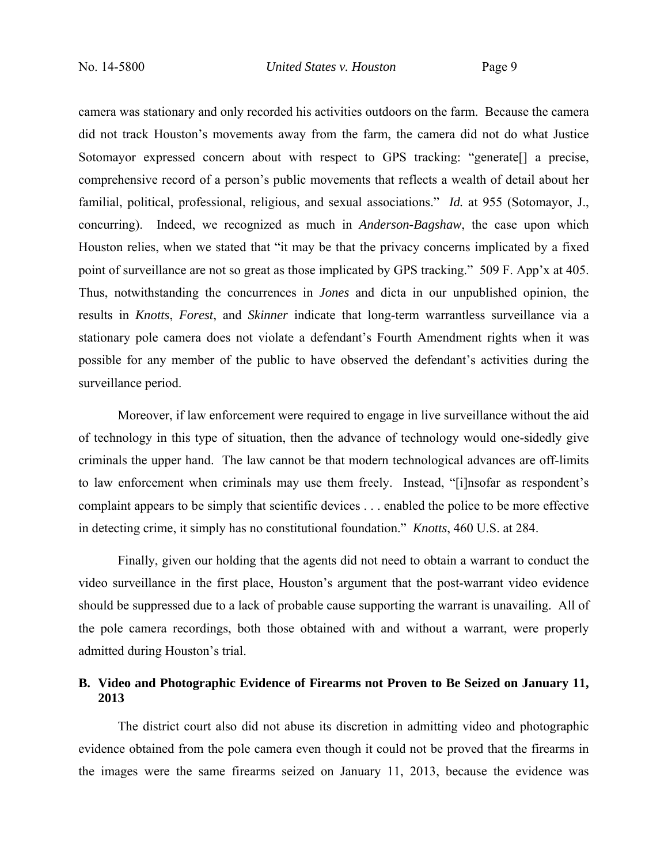camera was stationary and only recorded his activities outdoors on the farm. Because the camera did not track Houston's movements away from the farm, the camera did not do what Justice Sotomayor expressed concern about with respect to GPS tracking: "generate<sup>[]</sup> a precise, comprehensive record of a person's public movements that reflects a wealth of detail about her familial, political, professional, religious, and sexual associations." *Id.* at 955 (Sotomayor, J., concurring). Indeed, we recognized as much in *Anderson-Bagshaw*, the case upon which Houston relies, when we stated that "it may be that the privacy concerns implicated by a fixed point of surveillance are not so great as those implicated by GPS tracking." 509 F. App'x at 405. Thus, notwithstanding the concurrences in *Jones* and dicta in our unpublished opinion, the results in *Knotts*, *Forest*, and *Skinner* indicate that long-term warrantless surveillance via a stationary pole camera does not violate a defendant's Fourth Amendment rights when it was possible for any member of the public to have observed the defendant's activities during the surveillance period.

 Moreover, if law enforcement were required to engage in live surveillance without the aid of technology in this type of situation, then the advance of technology would one-sidedly give criminals the upper hand. The law cannot be that modern technological advances are off-limits to law enforcement when criminals may use them freely. Instead, "[i]nsofar as respondent's complaint appears to be simply that scientific devices . . . enabled the police to be more effective in detecting crime, it simply has no constitutional foundation." *Knotts*, 460 U.S. at 284.

 Finally, given our holding that the agents did not need to obtain a warrant to conduct the video surveillance in the first place, Houston's argument that the post-warrant video evidence should be suppressed due to a lack of probable cause supporting the warrant is unavailing. All of the pole camera recordings, both those obtained with and without a warrant, were properly admitted during Houston's trial.

## **B. Video and Photographic Evidence of Firearms not Proven to Be Seized on January 11, 2013**

 The district court also did not abuse its discretion in admitting video and photographic evidence obtained from the pole camera even though it could not be proved that the firearms in the images were the same firearms seized on January 11, 2013, because the evidence was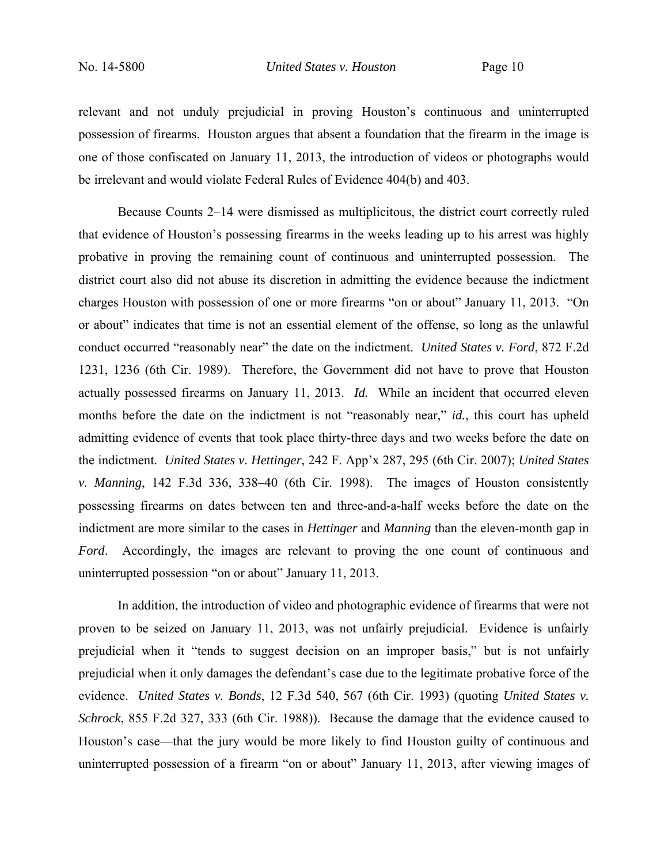relevant and not unduly prejudicial in proving Houston's continuous and uninterrupted possession of firearms. Houston argues that absent a foundation that the firearm in the image is one of those confiscated on January 11, 2013, the introduction of videos or photographs would be irrelevant and would violate Federal Rules of Evidence 404(b) and 403.

 Because Counts 2–14 were dismissed as multiplicitous, the district court correctly ruled that evidence of Houston's possessing firearms in the weeks leading up to his arrest was highly probative in proving the remaining count of continuous and uninterrupted possession. The district court also did not abuse its discretion in admitting the evidence because the indictment charges Houston with possession of one or more firearms "on or about" January 11, 2013. "On or about" indicates that time is not an essential element of the offense, so long as the unlawful conduct occurred "reasonably near" the date on the indictment. *United States v. Ford*, 872 F.2d 1231, 1236 (6th Cir. 1989). Therefore, the Government did not have to prove that Houston actually possessed firearms on January 11, 2013. *Id.* While an incident that occurred eleven months before the date on the indictment is not "reasonably near," *id.*, this court has upheld admitting evidence of events that took place thirty-three days and two weeks before the date on the indictment. *United States v. Hettinger*, 242 F. App'x 287, 295 (6th Cir. 2007); *United States v. Manning*, 142 F.3d 336, 338–40 (6th Cir. 1998). The images of Houston consistently possessing firearms on dates between ten and three-and-a-half weeks before the date on the indictment are more similar to the cases in *Hettinger* and *Manning* than the eleven-month gap in *Ford*. Accordingly, the images are relevant to proving the one count of continuous and uninterrupted possession "on or about" January 11, 2013.

 In addition, the introduction of video and photographic evidence of firearms that were not proven to be seized on January 11, 2013, was not unfairly prejudicial. Evidence is unfairly prejudicial when it "tends to suggest decision on an improper basis," but is not unfairly prejudicial when it only damages the defendant's case due to the legitimate probative force of the evidence. *United States v. Bonds*, 12 F.3d 540, 567 (6th Cir. 1993) (quoting *United States v. Schrock*, 855 F.2d 327, 333 (6th Cir. 1988)). Because the damage that the evidence caused to Houston's case—that the jury would be more likely to find Houston guilty of continuous and uninterrupted possession of a firearm "on or about" January 11, 2013, after viewing images of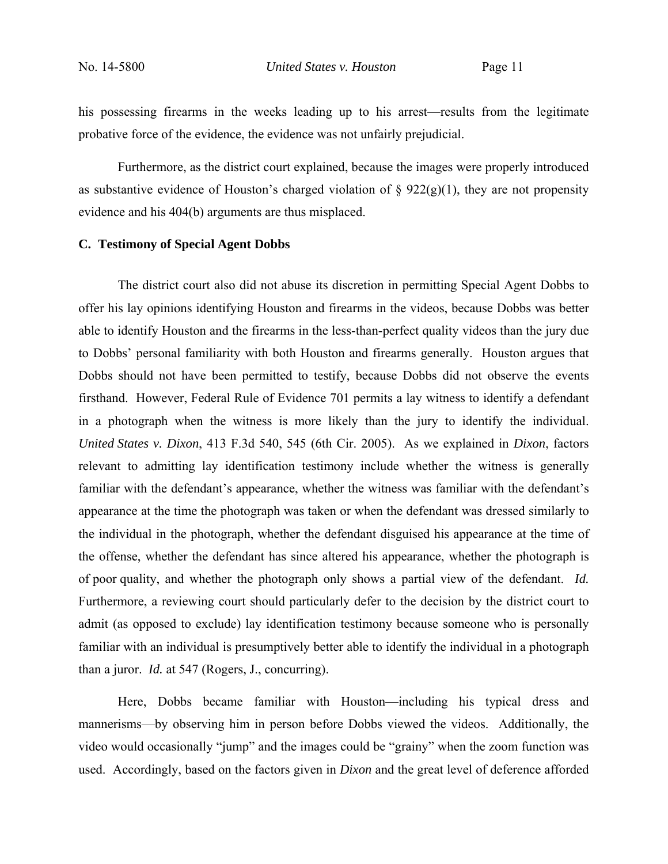his possessing firearms in the weeks leading up to his arrest—results from the legitimate probative force of the evidence, the evidence was not unfairly prejudicial.

 Furthermore, as the district court explained, because the images were properly introduced as substantive evidence of Houston's charged violation of  $\S 922(g)(1)$ , they are not propensity evidence and his 404(b) arguments are thus misplaced.

### **C. Testimony of Special Agent Dobbs**

 The district court also did not abuse its discretion in permitting Special Agent Dobbs to offer his lay opinions identifying Houston and firearms in the videos, because Dobbs was better able to identify Houston and the firearms in the less-than-perfect quality videos than the jury due to Dobbs' personal familiarity with both Houston and firearms generally. Houston argues that Dobbs should not have been permitted to testify, because Dobbs did not observe the events firsthand. However, Federal Rule of Evidence 701 permits a lay witness to identify a defendant in a photograph when the witness is more likely than the jury to identify the individual. *United States v. Dixon*, 413 F.3d 540, 545 (6th Cir. 2005). As we explained in *Dixon*, factors relevant to admitting lay identification testimony include whether the witness is generally familiar with the defendant's appearance, whether the witness was familiar with the defendant's appearance at the time the photograph was taken or when the defendant was dressed similarly to the individual in the photograph, whether the defendant disguised his appearance at the time of the offense, whether the defendant has since altered his appearance, whether the photograph is of poor quality, and whether the photograph only shows a partial view of the defendant. *Id.* Furthermore, a reviewing court should particularly defer to the decision by the district court to admit (as opposed to exclude) lay identification testimony because someone who is personally familiar with an individual is presumptively better able to identify the individual in a photograph than a juror. *Id.* at 547 (Rogers, J., concurring).

 Here, Dobbs became familiar with Houston—including his typical dress and mannerisms—by observing him in person before Dobbs viewed the videos. Additionally, the video would occasionally "jump" and the images could be "grainy" when the zoom function was used. Accordingly, based on the factors given in *Dixon* and the great level of deference afforded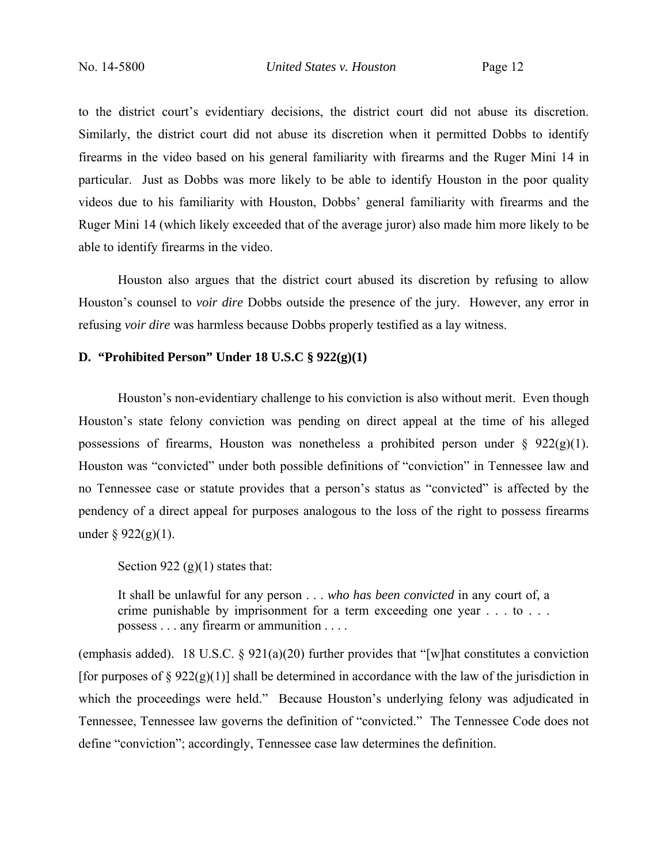to the district court's evidentiary decisions, the district court did not abuse its discretion. Similarly, the district court did not abuse its discretion when it permitted Dobbs to identify firearms in the video based on his general familiarity with firearms and the Ruger Mini 14 in particular. Just as Dobbs was more likely to be able to identify Houston in the poor quality videos due to his familiarity with Houston, Dobbs' general familiarity with firearms and the Ruger Mini 14 (which likely exceeded that of the average juror) also made him more likely to be able to identify firearms in the video.

 Houston also argues that the district court abused its discretion by refusing to allow Houston's counsel to *voir dire* Dobbs outside the presence of the jury. However, any error in refusing *voir dire* was harmless because Dobbs properly testified as a lay witness.

### **D. "Prohibited Person" Under 18 U.S.C § 922(g)(1)**

 Houston's non-evidentiary challenge to his conviction is also without merit. Even though Houston's state felony conviction was pending on direct appeal at the time of his alleged possessions of firearms, Houston was nonetheless a prohibited person under  $\S$  922(g)(1). Houston was "convicted" under both possible definitions of "conviction" in Tennessee law and no Tennessee case or statute provides that a person's status as "convicted" is affected by the pendency of a direct appeal for purposes analogous to the loss of the right to possess firearms under  $\S$  922(g)(1).

Section 922 (g)(1) states that:

It shall be unlawful for any person . . . *who has been convicted* in any court of, a crime punishable by imprisonment for a term exceeding one year . . . to . . . possess . . . any firearm or ammunition . . . .

(emphasis added). 18 U.S.C. § 921(a)(20) further provides that "[w] hat constitutes a conviction [for purposes of  $\S 922(g)(1)$ ] shall be determined in accordance with the law of the jurisdiction in which the proceedings were held." Because Houston's underlying felony was adjudicated in Tennessee, Tennessee law governs the definition of "convicted." The Tennessee Code does not define "conviction"; accordingly, Tennessee case law determines the definition.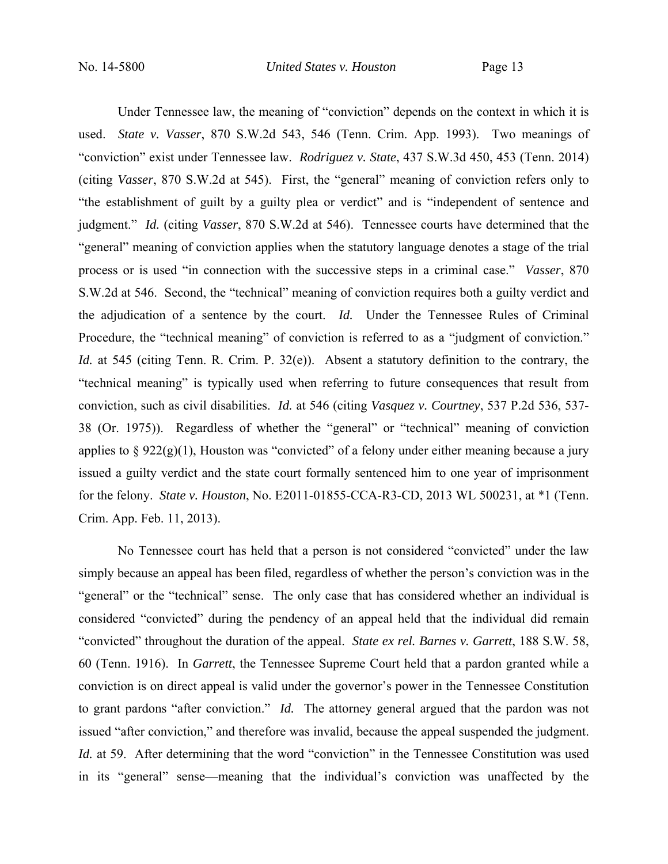Under Tennessee law, the meaning of "conviction" depends on the context in which it is used. *State v. Vasser*, 870 S.W.2d 543, 546 (Tenn. Crim. App. 1993). Two meanings of "conviction" exist under Tennessee law. *Rodriguez v. State*, 437 S.W.3d 450, 453 (Tenn. 2014) (citing *Vasser*, 870 S.W.2d at 545). First, the "general" meaning of conviction refers only to "the establishment of guilt by a guilty plea or verdict" and is "independent of sentence and judgment." *Id.* (citing *Vasser*, 870 S.W.2d at 546). Tennessee courts have determined that the "general" meaning of conviction applies when the statutory language denotes a stage of the trial process or is used "in connection with the successive steps in a criminal case." *Vasser*, 870 S.W.2d at 546. Second, the "technical" meaning of conviction requires both a guilty verdict and the adjudication of a sentence by the court. *Id.* Under the Tennessee Rules of Criminal Procedure, the "technical meaning" of conviction is referred to as a "judgment of conviction." *Id.* at 545 (citing Tenn. R. Crim. P. 32(e)). Absent a statutory definition to the contrary, the "technical meaning" is typically used when referring to future consequences that result from conviction, such as civil disabilities. *Id.* at 546 (citing *Vasquez v. Courtney*, 537 P.2d 536, 537- 38 (Or. 1975)). Regardless of whether the "general" or "technical" meaning of conviction applies to  $\S 922(g)(1)$ , Houston was "convicted" of a felony under either meaning because a jury issued a guilty verdict and the state court formally sentenced him to one year of imprisonment for the felony. *State v. Houston*, No. E2011-01855-CCA-R3-CD, 2013 WL 500231, at \*1 (Tenn. Crim. App. Feb. 11, 2013).

 No Tennessee court has held that a person is not considered "convicted" under the law simply because an appeal has been filed, regardless of whether the person's conviction was in the "general" or the "technical" sense. The only case that has considered whether an individual is considered "convicted" during the pendency of an appeal held that the individual did remain "convicted" throughout the duration of the appeal. *State ex rel. Barnes v. Garrett*, 188 S.W. 58, 60 (Tenn. 1916). In *Garrett*, the Tennessee Supreme Court held that a pardon granted while a conviction is on direct appeal is valid under the governor's power in the Tennessee Constitution to grant pardons "after conviction." *Id.* The attorney general argued that the pardon was not issued "after conviction," and therefore was invalid, because the appeal suspended the judgment. *Id.* at 59. After determining that the word "conviction" in the Tennessee Constitution was used in its "general" sense—meaning that the individual's conviction was unaffected by the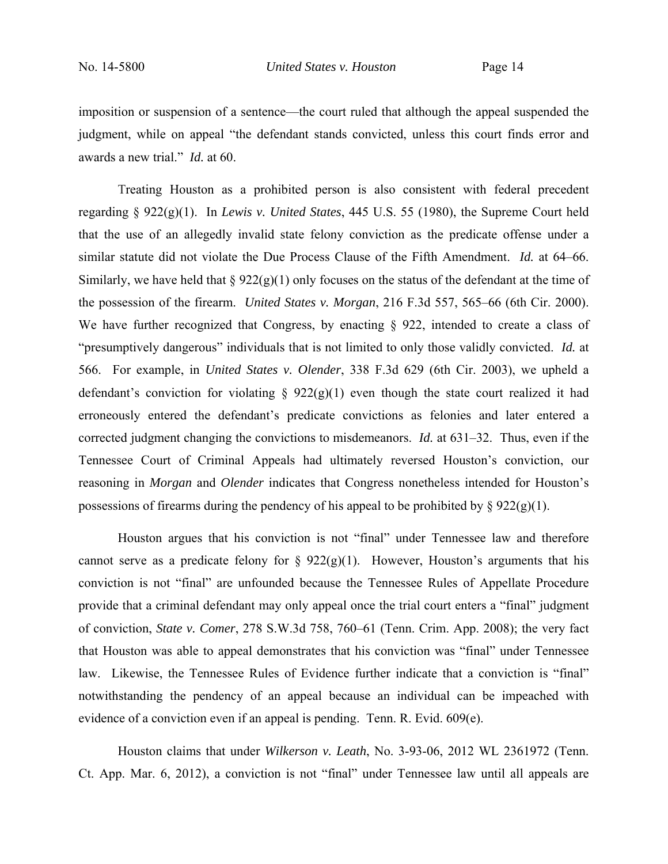imposition or suspension of a sentence—the court ruled that although the appeal suspended the judgment, while on appeal "the defendant stands convicted, unless this court finds error and awards a new trial." *Id.* at 60.

 Treating Houston as a prohibited person is also consistent with federal precedent regarding § 922(g)(1). In *Lewis v. United States*, 445 U.S. 55 (1980), the Supreme Court held that the use of an allegedly invalid state felony conviction as the predicate offense under a similar statute did not violate the Due Process Clause of the Fifth Amendment. *Id.* at 64–66. Similarly, we have held that  $\S 922(g)(1)$  only focuses on the status of the defendant at the time of the possession of the firearm. *United States v. Morgan*, 216 F.3d 557, 565–66 (6th Cir. 2000). We have further recognized that Congress, by enacting  $\S$  922, intended to create a class of "presumptively dangerous" individuals that is not limited to only those validly convicted. *Id.* at 566. For example, in *United States v. Olender*, 338 F.3d 629 (6th Cir. 2003), we upheld a defendant's conviction for violating  $\S$  922(g)(1) even though the state court realized it had erroneously entered the defendant's predicate convictions as felonies and later entered a corrected judgment changing the convictions to misdemeanors. *Id.* at 631–32. Thus, even if the Tennessee Court of Criminal Appeals had ultimately reversed Houston's conviction, our reasoning in *Morgan* and *Olender* indicates that Congress nonetheless intended for Houston's possessions of firearms during the pendency of his appeal to be prohibited by  $\S 922(g)(1)$ .

 Houston argues that his conviction is not "final" under Tennessee law and therefore cannot serve as a predicate felony for  $\S 922(g)(1)$ . However, Houston's arguments that his conviction is not "final" are unfounded because the Tennessee Rules of Appellate Procedure provide that a criminal defendant may only appeal once the trial court enters a "final" judgment of conviction, *State v. Comer*, 278 S.W.3d 758, 760–61 (Tenn. Crim. App. 2008); the very fact that Houston was able to appeal demonstrates that his conviction was "final" under Tennessee law. Likewise, the Tennessee Rules of Evidence further indicate that a conviction is "final" notwithstanding the pendency of an appeal because an individual can be impeached with evidence of a conviction even if an appeal is pending. Tenn. R. Evid. 609(e).

 Houston claims that under *Wilkerson v. Leath*, No. 3-93-06, 2012 WL 2361972 (Tenn. Ct. App. Mar. 6, 2012), a conviction is not "final" under Tennessee law until all appeals are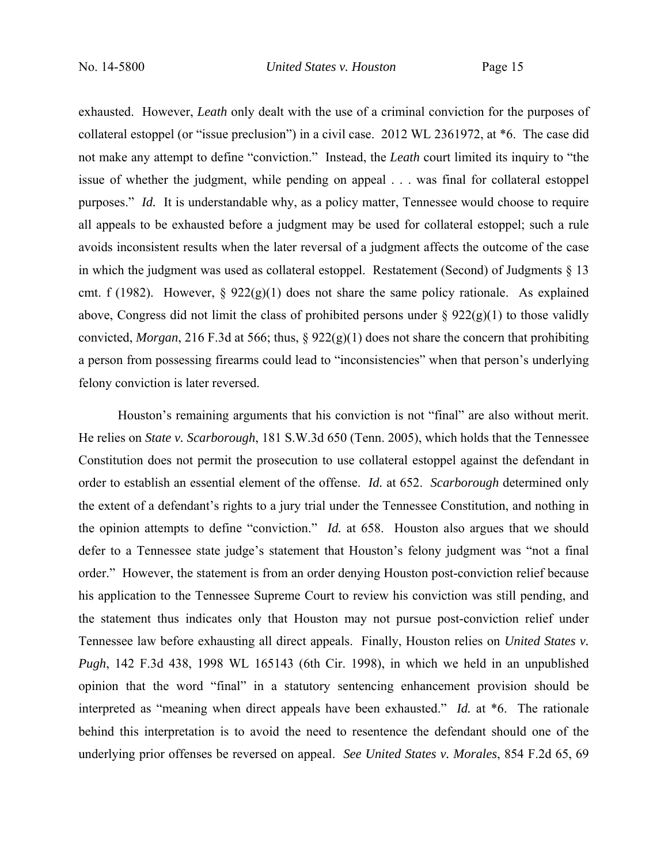exhausted. However, *Leath* only dealt with the use of a criminal conviction for the purposes of collateral estoppel (or "issue preclusion") in a civil case. 2012 WL 2361972, at \*6. The case did not make any attempt to define "conviction." Instead, the *Leath* court limited its inquiry to "the issue of whether the judgment, while pending on appeal . . . was final for collateral estoppel purposes." *Id.* It is understandable why, as a policy matter, Tennessee would choose to require all appeals to be exhausted before a judgment may be used for collateral estoppel; such a rule avoids inconsistent results when the later reversal of a judgment affects the outcome of the case in which the judgment was used as collateral estoppel. Restatement (Second) of Judgments  $\S$  13 cmt. f (1982). However, §  $922(g)(1)$  does not share the same policy rationale. As explained above, Congress did not limit the class of prohibited persons under  $\S 922(g)(1)$  to those validly convicted, *Morgan*, 216 F.3d at 566; thus, § 922(g)(1) does not share the concern that prohibiting a person from possessing firearms could lead to "inconsistencies" when that person's underlying felony conviction is later reversed.

 Houston's remaining arguments that his conviction is not "final" are also without merit. He relies on *State v. Scarborough*, 181 S.W.3d 650 (Tenn. 2005), which holds that the Tennessee Constitution does not permit the prosecution to use collateral estoppel against the defendant in order to establish an essential element of the offense. *Id.* at 652. *Scarborough* determined only the extent of a defendant's rights to a jury trial under the Tennessee Constitution, and nothing in the opinion attempts to define "conviction." *Id.* at 658. Houston also argues that we should defer to a Tennessee state judge's statement that Houston's felony judgment was "not a final order." However, the statement is from an order denying Houston post-conviction relief because his application to the Tennessee Supreme Court to review his conviction was still pending, and the statement thus indicates only that Houston may not pursue post-conviction relief under Tennessee law before exhausting all direct appeals. Finally, Houston relies on *United States v. Pugh*, 142 F.3d 438, 1998 WL 165143 (6th Cir. 1998), in which we held in an unpublished opinion that the word "final" in a statutory sentencing enhancement provision should be interpreted as "meaning when direct appeals have been exhausted." *Id.* at \*6. The rationale behind this interpretation is to avoid the need to resentence the defendant should one of the underlying prior offenses be reversed on appeal. *See United States v. Morales*, 854 F.2d 65, 69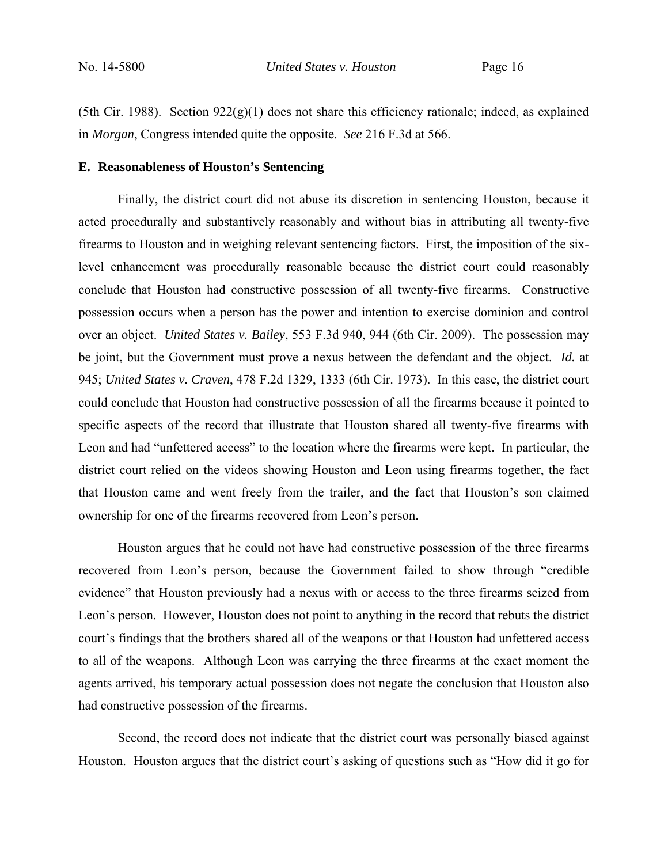(5th Cir. 1988). Section  $922(g)(1)$  does not share this efficiency rationale; indeed, as explained in *Morgan*, Congress intended quite the opposite. *See* 216 F.3d at 566.

### **E. Reasonableness of Houston's Sentencing**

 Finally, the district court did not abuse its discretion in sentencing Houston, because it acted procedurally and substantively reasonably and without bias in attributing all twenty-five firearms to Houston and in weighing relevant sentencing factors. First, the imposition of the sixlevel enhancement was procedurally reasonable because the district court could reasonably conclude that Houston had constructive possession of all twenty-five firearms. Constructive possession occurs when a person has the power and intention to exercise dominion and control over an object. *United States v. Bailey*, 553 F.3d 940, 944 (6th Cir. 2009). The possession may be joint, but the Government must prove a nexus between the defendant and the object. *Id.* at 945; *United States v. Craven*, 478 F.2d 1329, 1333 (6th Cir. 1973). In this case, the district court could conclude that Houston had constructive possession of all the firearms because it pointed to specific aspects of the record that illustrate that Houston shared all twenty-five firearms with Leon and had "unfettered access" to the location where the firearms were kept. In particular, the district court relied on the videos showing Houston and Leon using firearms together, the fact that Houston came and went freely from the trailer, and the fact that Houston's son claimed ownership for one of the firearms recovered from Leon's person.

 Houston argues that he could not have had constructive possession of the three firearms recovered from Leon's person, because the Government failed to show through "credible evidence" that Houston previously had a nexus with or access to the three firearms seized from Leon's person. However, Houston does not point to anything in the record that rebuts the district court's findings that the brothers shared all of the weapons or that Houston had unfettered access to all of the weapons. Although Leon was carrying the three firearms at the exact moment the agents arrived, his temporary actual possession does not negate the conclusion that Houston also had constructive possession of the firearms.

 Second, the record does not indicate that the district court was personally biased against Houston. Houston argues that the district court's asking of questions such as "How did it go for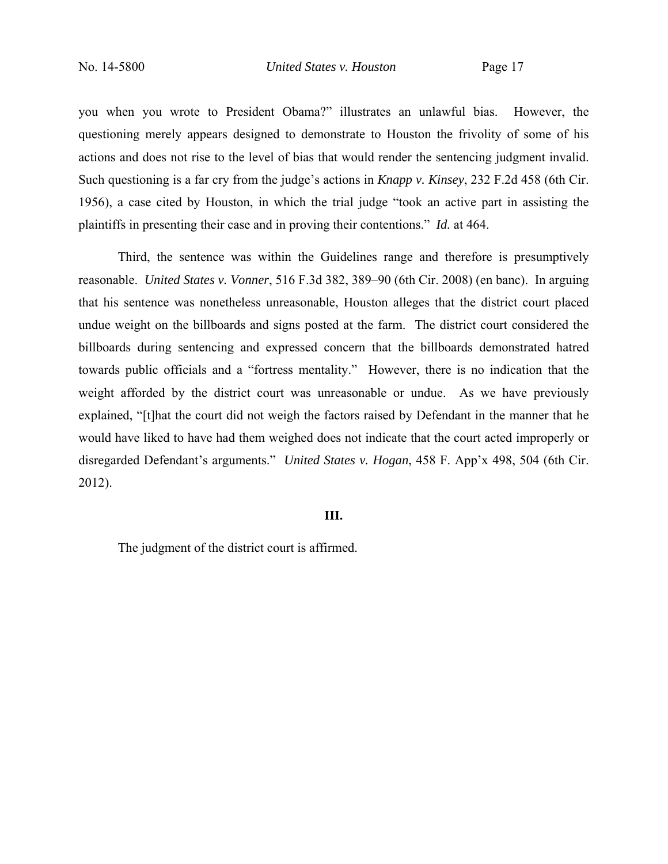you when you wrote to President Obama?" illustrates an unlawful bias. However, the questioning merely appears designed to demonstrate to Houston the frivolity of some of his actions and does not rise to the level of bias that would render the sentencing judgment invalid. Such questioning is a far cry from the judge's actions in *Knapp v. Kinsey*, 232 F.2d 458 (6th Cir. 1956), a case cited by Houston, in which the trial judge "took an active part in assisting the plaintiffs in presenting their case and in proving their contentions." *Id.* at 464.

 Third, the sentence was within the Guidelines range and therefore is presumptively reasonable. *United States v. Vonner*, 516 F.3d 382, 389–90 (6th Cir. 2008) (en banc). In arguing that his sentence was nonetheless unreasonable, Houston alleges that the district court placed undue weight on the billboards and signs posted at the farm. The district court considered the billboards during sentencing and expressed concern that the billboards demonstrated hatred towards public officials and a "fortress mentality." However, there is no indication that the weight afforded by the district court was unreasonable or undue. As we have previously explained, "[t]hat the court did not weigh the factors raised by Defendant in the manner that he would have liked to have had them weighed does not indicate that the court acted improperly or disregarded Defendant's arguments." *United States v. Hogan*, 458 F. App'x 498, 504 (6th Cir. 2012).

#### **III.**

The judgment of the district court is affirmed.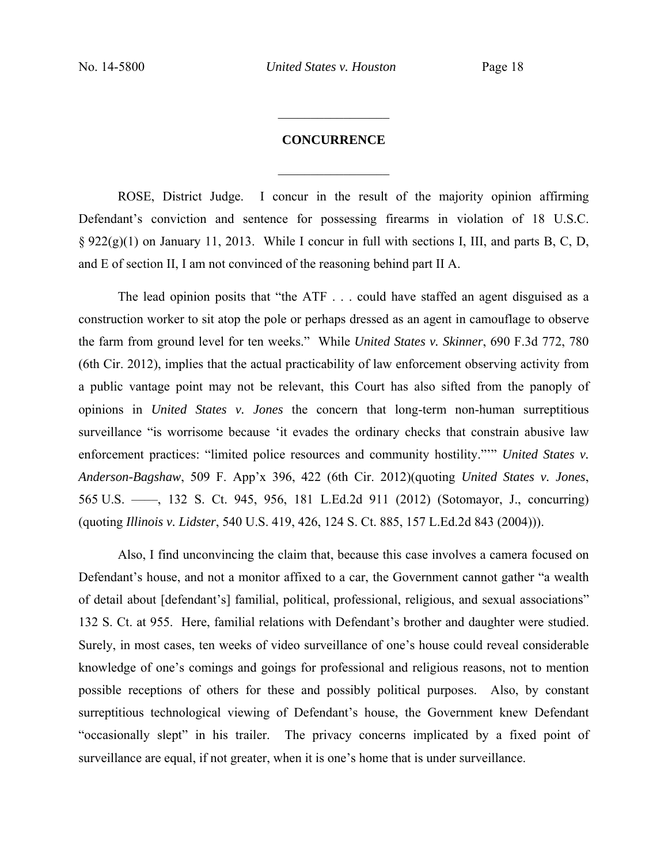## **CONCURRENCE**

 $\frac{1}{2}$ 

 $\frac{1}{2}$ 

ROSE, District Judge. I concur in the result of the majority opinion affirming Defendant's conviction and sentence for possessing firearms in violation of 18 U.S.C. § 922(g)(1) on January 11, 2013. While I concur in full with sections I, III, and parts B, C, D, and E of section II, I am not convinced of the reasoning behind part II A.

 The lead opinion posits that "the ATF . . . could have staffed an agent disguised as a construction worker to sit atop the pole or perhaps dressed as an agent in camouflage to observe the farm from ground level for ten weeks." While *United States v. Skinner*, 690 F.3d 772, 780 (6th Cir. 2012), implies that the actual practicability of law enforcement observing activity from a public vantage point may not be relevant, this Court has also sifted from the panoply of opinions in *United States v. Jones* the concern that long-term non-human surreptitious surveillance "is worrisome because 'it evades the ordinary checks that constrain abusive law enforcement practices: "limited police resources and community hostility."'" *United States v. Anderson-Bagshaw*, 509 F. App'x 396, 422 (6th Cir. 2012)(quoting *United States v. Jones*, 565 U.S. ––––, 132 S. Ct. 945, 956, 181 L.Ed.2d 911 (2012) (Sotomayor, J., concurring) (quoting *Illinois v. Lidster*, 540 U.S. 419, 426, 124 S. Ct. 885, 157 L.Ed.2d 843 (2004))).

 Also, I find unconvincing the claim that, because this case involves a camera focused on Defendant's house, and not a monitor affixed to a car, the Government cannot gather "a wealth of detail about [defendant's] familial, political, professional, religious, and sexual associations" 132 S. Ct. at 955. Here, familial relations with Defendant's brother and daughter were studied. Surely, in most cases, ten weeks of video surveillance of one's house could reveal considerable knowledge of one's comings and goings for professional and religious reasons, not to mention possible receptions of others for these and possibly political purposes. Also, by constant surreptitious technological viewing of Defendant's house, the Government knew Defendant "occasionally slept" in his trailer. The privacy concerns implicated by a fixed point of surveillance are equal, if not greater, when it is one's home that is under surveillance.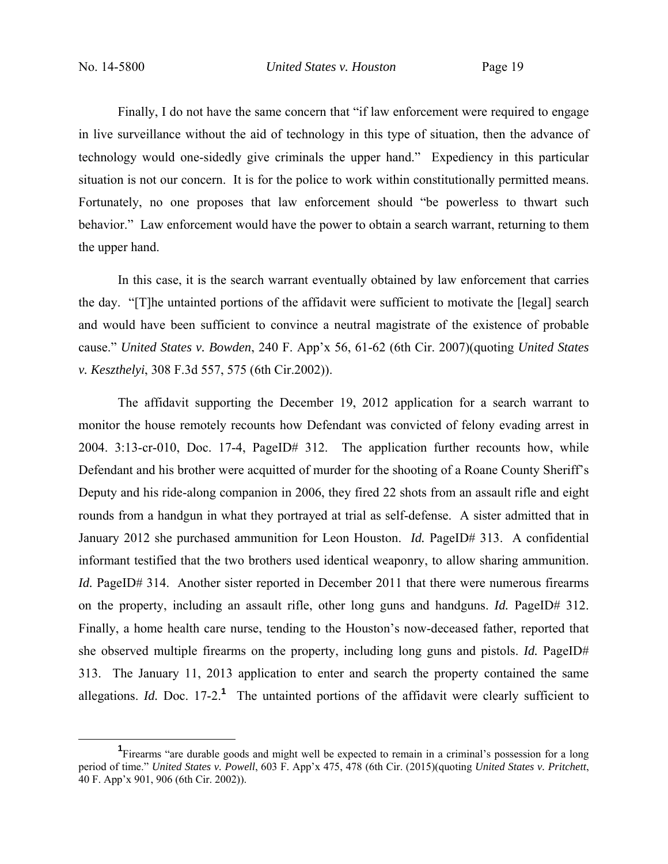Finally, I do not have the same concern that "if law enforcement were required to engage in live surveillance without the aid of technology in this type of situation, then the advance of technology would one-sidedly give criminals the upper hand." Expediency in this particular situation is not our concern. It is for the police to work within constitutionally permitted means. Fortunately, no one proposes that law enforcement should "be powerless to thwart such behavior." Law enforcement would have the power to obtain a search warrant, returning to them the upper hand.

 In this case, it is the search warrant eventually obtained by law enforcement that carries the day. "[T]he untainted portions of the affidavit were sufficient to motivate the [legal] search and would have been sufficient to convince a neutral magistrate of the existence of probable cause." *United States v. Bowden*, 240 F. App'x 56, 61-62 (6th Cir. 2007)(quoting *United States v. Keszthelyi*, 308 F.3d 557, 575 (6th Cir.2002)).

 The affidavit supporting the December 19, 2012 application for a search warrant to monitor the house remotely recounts how Defendant was convicted of felony evading arrest in 2004. 3:13-cr-010, Doc. 17-4, PageID# 312. The application further recounts how, while Defendant and his brother were acquitted of murder for the shooting of a Roane County Sheriff's Deputy and his ride-along companion in 2006, they fired 22 shots from an assault rifle and eight rounds from a handgun in what they portrayed at trial as self-defense. A sister admitted that in January 2012 she purchased ammunition for Leon Houston. *Id.* PageID# 313. A confidential informant testified that the two brothers used identical weaponry, to allow sharing ammunition. *Id.* PageID# 314. Another sister reported in December 2011 that there were numerous firearms on the property, including an assault rifle, other long guns and handguns. *Id.* PageID# 312. Finally, a home health care nurse, tending to the Houston's now-deceased father, reported that she observed multiple firearms on the property, including long guns and pistols. *Id.* PageID# 313. The January 11, 2013 application to enter and search the property contained the same allegations. *Id.* Doc.  $17{\text -}2^1$  The untainted portions of the affidavit were clearly sufficient to

<sup>&</sup>lt;u>1</u> Firearms "are durable goods and might well be expected to remain in a criminal's possession for a long period of time." *United States v. Powell*, 603 F. App'x 475, 478 (6th Cir. (2015)(quoting *United States v. Pritchett*, 40 F. App'x 901, 906 (6th Cir. 2002)).